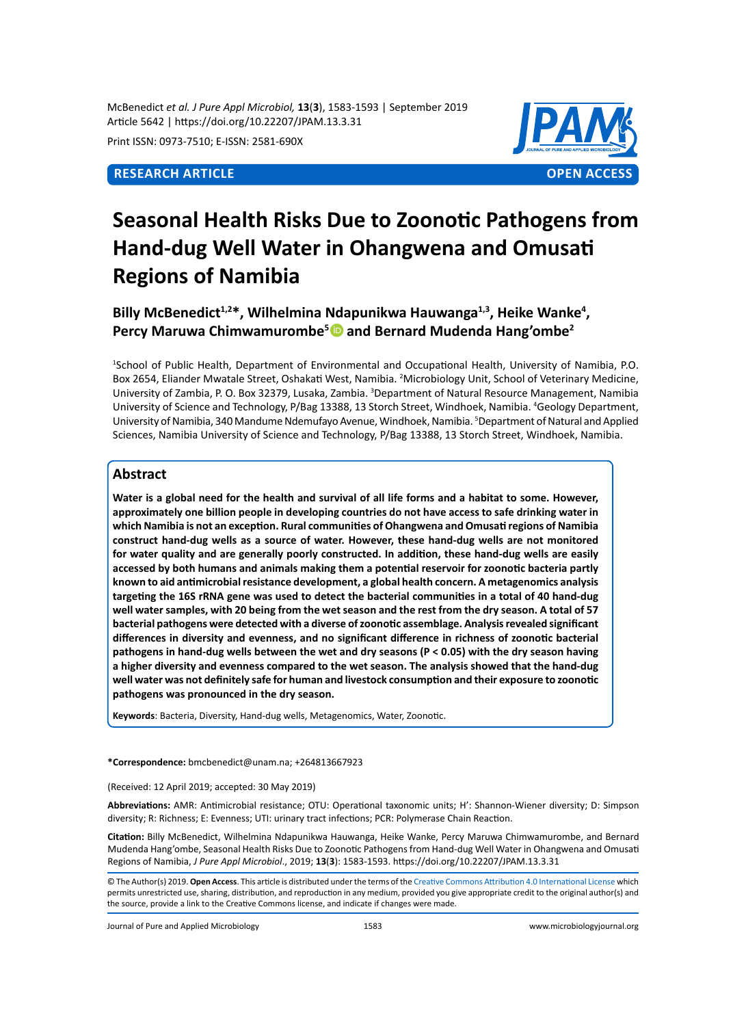McBenedict *et al. J Pure Appl Microbiol,* **13**(**3**), 1583-1593 | September 2019 Article 5642 | https://doi.org/10.22207/JPAM.13.3.31

Print ISSN: 0973-7510; E-ISSN: 2581-690X



# **Seasonal Health Risks Due to Zoonotic Pathogens from Hand-dug Well Water in Ohangwena and Omusati Regions of Namibia**

Billy McBenedict<sup>1,2\*</sup>, Wilhelmina Ndapunikwa Hauwanga<sup>1,3</sup>, Heike Wanke<sup>4</sup>, **Percy Maruwa Chimwamurombe<sup>5</sup> and Bernard Mudenda Hang'ombe<sup>2</sup>**

1 School of Public Health, Department of Environmental and Occupational Health, University of Namibia, P.O. Box 2654, Eliander Mwatale Street, Oshakati West, Namibia. <sup>2</sup>Microbiology Unit, School of Veterinary Medicine, University of Zambia, P. O. Box 32379, Lusaka, Zambia. <sup>3</sup>Department of Natural Resource Management, Namibia University of Science and Technology, P/Bag 13388, 13 Storch Street, Windhoek, Namibia. <sup>4</sup> Geology Department, University of Namibia, 340 Mandume Ndemufayo Avenue, Windhoek, Namibia. <sup>5</sup>Department of Natural and Applied Sciences, Namibia University of Science and Technology, P/Bag 13388, 13 Storch Street, Windhoek, Namibia.

# **Abstract**

**Water is a global need for the health and survival of all life forms and a habitat to some. However, approximately one billion people in developing countries do not have access to safe drinking water in which Namibia is not an exception. Rural communities of Ohangwena and Omusati regions of Namibia construct hand-dug wells as a source of water. However, these hand-dug wells are not monitored for water quality and are generally poorly constructed. In addition, these hand-dug wells are easily accessed by both humans and animals making them a potential reservoir for zoonotic bacteria partly known to aid antimicrobial resistance development, a global health concern. A metagenomics analysis targeting the 16S rRNA gene was used to detect the bacterial communities in a total of 40 hand-dug well water samples, with 20 being from the wet season and the rest from the dry season. A total of 57 bacterial pathogens were detected with a diverse of zoonotic assemblage. Analysis revealed significant differences in diversity and evenness, and no significant difference in richness of zoonotic bacterial pathogens in hand-dug wells between the wet and dry seasons (P < 0.05) with the dry season having a higher diversity and evenness compared to the wet season. The analysis showed that the hand-dug well water was not definitely safe for human and livestock consumption and their exposure to zoonotic pathogens was pronounced in the dry season.** 

**Keywords**: Bacteria, Diversity, Hand-dug wells, Metagenomics, Water, Zoonotic.

**\*Correspondence:** bmcbenedict@unam.na; +264813667923

(Received: 12 April 2019; accepted: 30 May 2019)

**Abbreviations:** AMR: Antimicrobial resistance; OTU: Operational taxonomic units; H': Shannon-Wiener diversity; D: Simpson diversity; R: Richness; E: Evenness; UTI: urinary tract infections; PCR: Polymerase Chain Reaction.

**Citation:** Billy McBenedict, Wilhelmina Ndapunikwa Hauwanga, Heike Wanke, Percy Maruwa Chimwamurombe, and Bernard Mudenda Hang'ombe, Seasonal Health Risks Due to Zoonotic Pathogens from Hand-dug Well Water in Ohangwena and Omusati Regions of Namibia, *J Pure Appl Microbiol*., 2019; **13**(**3**): 1583-1593. https://doi.org/10.22207/JPAM.13.3.31

Journal of Pure and Applied Microbiology 1583 www.microbiologyjournal.org

<sup>©</sup> The Author(s) 2019. **Open Access**. This article is distributed under the terms of the [Creative Commons Attribution 4.0 International License](https://creativecommons.org/licenses/by/4.0/) which permits unrestricted use, sharing, distribution, and reproduction in any medium, provided you give appropriate credit to the original author(s) and the source, provide a link to the Creative Commons license, and indicate if changes were made.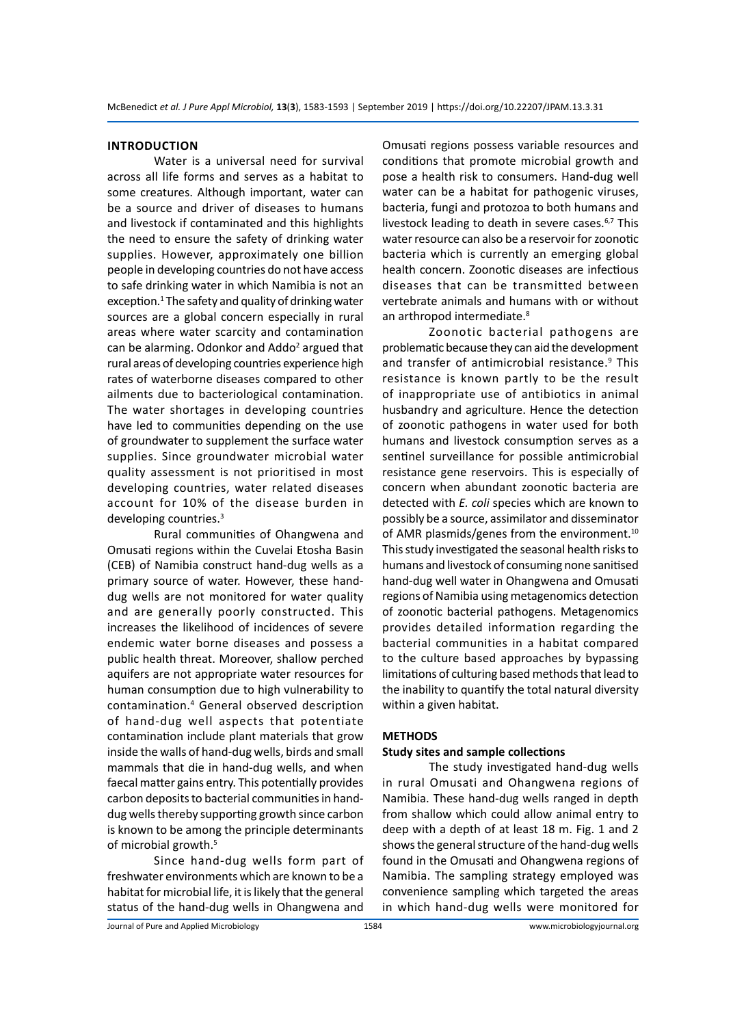#### **INTRODUCTION**

Water is a universal need for survival across all life forms and serves as a habitat to some creatures. Although important, water can be a source and driver of diseases to humans and livestock if contaminated and this highlights the need to ensure the safety of drinking water supplies. However, approximately one billion people in developing countries do not have access to safe drinking water in which Namibia is not an exception.<sup>1</sup> The safety and quality of drinking water sources are a global concern especially in rural areas where water scarcity and contamination can be alarming. Odonkor and Addo<sup>2</sup> argued that rural areas of developing countries experience high rates of waterborne diseases compared to other ailments due to bacteriological contamination. The water shortages in developing countries have led to communities depending on the use of groundwater to supplement the surface water supplies. Since groundwater microbial water quality assessment is not prioritised in most developing countries, water related diseases account for 10% of the disease burden in developing countries.<sup>3</sup>

Rural communities of Ohangwena and Omusati regions within the Cuvelai Etosha Basin (CEB) of Namibia construct hand-dug wells as a primary source of water. However, these handdug wells are not monitored for water quality and are generally poorly constructed. This increases the likelihood of incidences of severe endemic water borne diseases and possess a public health threat. Moreover, shallow perched aquifers are not appropriate water resources for human consumption due to high vulnerability to contamination.<sup>4</sup> General observed description of hand-dug well aspects that potentiate contamination include plant materials that grow inside the walls of hand-dug wells, birds and small mammals that die in hand-dug wells, and when faecal matter gains entry. This potentially provides carbon deposits to bacterial communities in handdug wells thereby supporting growth since carbon is known to be among the principle determinants of microbial growth.<sup>5</sup>

Since hand-dug wells form part of freshwater environments which are known to be a habitat for microbial life, it is likely that the general status of the hand-dug wells in Ohangwena and Omusati regions possess variable resources and conditions that promote microbial growth and pose a health risk to consumers. Hand-dug well water can be a habitat for pathogenic viruses, bacteria, fungi and protozoa to both humans and livestock leading to death in severe cases.<sup>6,7</sup> This water resource can also be a reservoir for zoonotic bacteria which is currently an emerging global health concern. Zoonotic diseases are infectious diseases that can be transmitted between vertebrate animals and humans with or without an arthropod intermediate.<sup>8</sup>

Zoonotic bacterial pathogens are problematic because they can aid the development and transfer of antimicrobial resistance.<sup>9</sup> This resistance is known partly to be the result of inappropriate use of antibiotics in animal husbandry and agriculture. Hence the detection of zoonotic pathogens in water used for both humans and livestock consumption serves as a sentinel surveillance for possible antimicrobial resistance gene reservoirs. This is especially of concern when abundant zoonotic bacteria are detected with *E. coli* species which are known to possibly be a source, assimilator and disseminator of AMR plasmids/genes from the environment.<sup>10</sup> This study investigated the seasonal health risks to humans and livestock of consuming none sanitised hand-dug well water in Ohangwena and Omusati regions of Namibia using metagenomics detection of zoonotic bacterial pathogens. Metagenomics provides detailed information regarding the bacterial communities in a habitat compared to the culture based approaches by bypassing limitations of culturing based methods that lead to the inability to quantify the total natural diversity within a given habitat.

#### **METHODS**

#### **Study sites and sample collections**

The study investigated hand-dug wells in rural Omusati and Ohangwena regions of Namibia. These hand-dug wells ranged in depth from shallow which could allow animal entry to deep with a depth of at least 18 m. Fig. 1 and 2 shows the general structure of the hand-dug wells found in the Omusati and Ohangwena regions of Namibia. The sampling strategy employed was convenience sampling which targeted the areas in which hand-dug wells were monitored for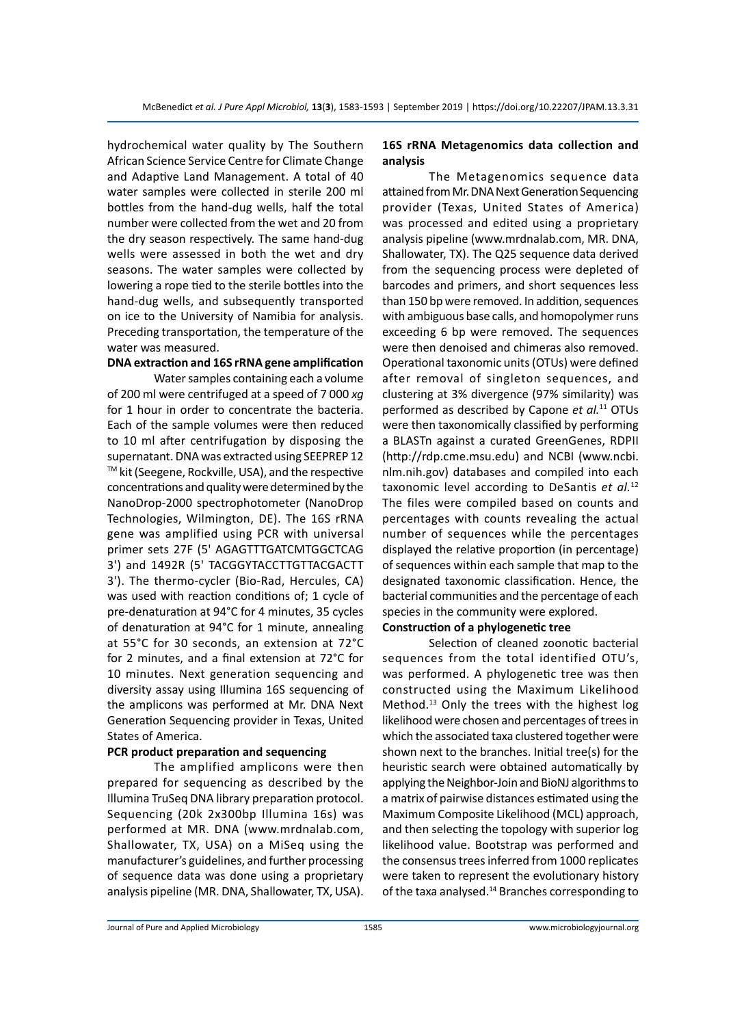hydrochemical water quality by The Southern African Science Service Centre for Climate Change and Adaptive Land Management. A total of 40 water samples were collected in sterile 200 ml bottles from the hand-dug wells, half the total number were collected from the wet and 20 from the dry season respectively. The same hand-dug wells were assessed in both the wet and dry seasons. The water samples were collected by lowering a rope tied to the sterile bottles into the hand-dug wells, and subsequently transported on ice to the University of Namibia for analysis. Preceding transportation, the temperature of the water was measured.

# **DNA extraction and 16S rRNA gene amplification**

Water samples containing each a volume of 200 ml were centrifuged at a speed of 7 000 *xg* for 1 hour in order to concentrate the bacteria. Each of the sample volumes were then reduced to 10 ml after centrifugation by disposing the supernatant. DNA was extracted using SEEPREP 12 TM kit (Seegene, Rockville, USA), and the respective concentrations and quality were determined by the NanoDrop-2000 spectrophotometer (NanoDrop Technologies, Wilmington, DE). The 16S rRNA gene was amplified using PCR with universal primer sets 27F (5' AGAGTTTGATCMTGGCTCAG 3') and 1492R (5' TACGGYTACCTTGTTACGACTT 3'). The thermo-cycler (Bio-Rad, Hercules, CA) was used with reaction conditions of; 1 cycle of pre-denaturation at 94°C for 4 minutes, 35 cycles of denaturation at 94°C for 1 minute, annealing at 55°C for 30 seconds, an extension at 72°C for 2 minutes, and a final extension at 72°C for 10 minutes. Next generation sequencing and diversity assay using Illumina 16S sequencing of the amplicons was performed at Mr. DNA Next Generation Sequencing provider in Texas, United States of America.

#### **PCR product preparation and sequencing**

The amplified amplicons were then prepared for sequencing as described by the Illumina TruSeq DNA library preparation protocol. Sequencing (20k 2x300bp Illumina 16s) was performed at MR. DNA (www.mrdnalab.com, Shallowater, TX, USA) on a MiSeq using the manufacturer's guidelines, and further processing of sequence data was done using a proprietary analysis pipeline (MR. DNA, Shallowater, TX, USA).

# **16S rRNA Metagenomics data collection and analysis**

The Metagenomics sequence data attained from Mr. DNA Next Generation Sequencing provider (Texas, United States of America) was processed and edited using a proprietary analysis pipeline (www.mrdnalab.com, MR. DNA, Shallowater, TX). The Q25 sequence data derived from the sequencing process were depleted of barcodes and primers, and short sequences less than 150 bp were removed. In addition, sequences with ambiguous base calls, and homopolymer runs exceeding 6 bp were removed. The sequences were then denoised and chimeras also removed. Operational taxonomic units (OTUs) were defined after removal of singleton sequences, and clustering at 3% divergence (97% similarity) was performed as described by Capone *et al.*<sup>11</sup> OTUs were then taxonomically classified by performing a BLASTn against a curated GreenGenes, RDPII (http://rdp.cme.msu.edu) and NCBI (www.ncbi. nlm.nih.gov) databases and compiled into each taxonomic level according to DeSantis *et al.*<sup>12</sup> The files were compiled based on counts and percentages with counts revealing the actual number of sequences while the percentages displayed the relative proportion (in percentage) of sequences within each sample that map to the designated taxonomic classification. Hence, the bacterial communities and the percentage of each species in the community were explored.

# **Construction of a phylogenetic tree**

Selection of cleaned zoonotic bacterial sequences from the total identified OTU's, was performed. A phylogenetic tree was then constructed using the Maximum Likelihood Method.<sup>13</sup> Only the trees with the highest log likelihood were chosen and percentages of trees in which the associated taxa clustered together were shown next to the branches. Initial tree(s) for the heuristic search were obtained automatically by applying the Neighbor-Join and BioNJ algorithms to a matrix of pairwise distances estimated using the Maximum Composite Likelihood (MCL) approach, and then selecting the topology with superior log likelihood value. Bootstrap was performed and the consensus trees inferred from 1000 replicates were taken to represent the evolutionary history of the taxa analysed.<sup>14</sup> Branches corresponding to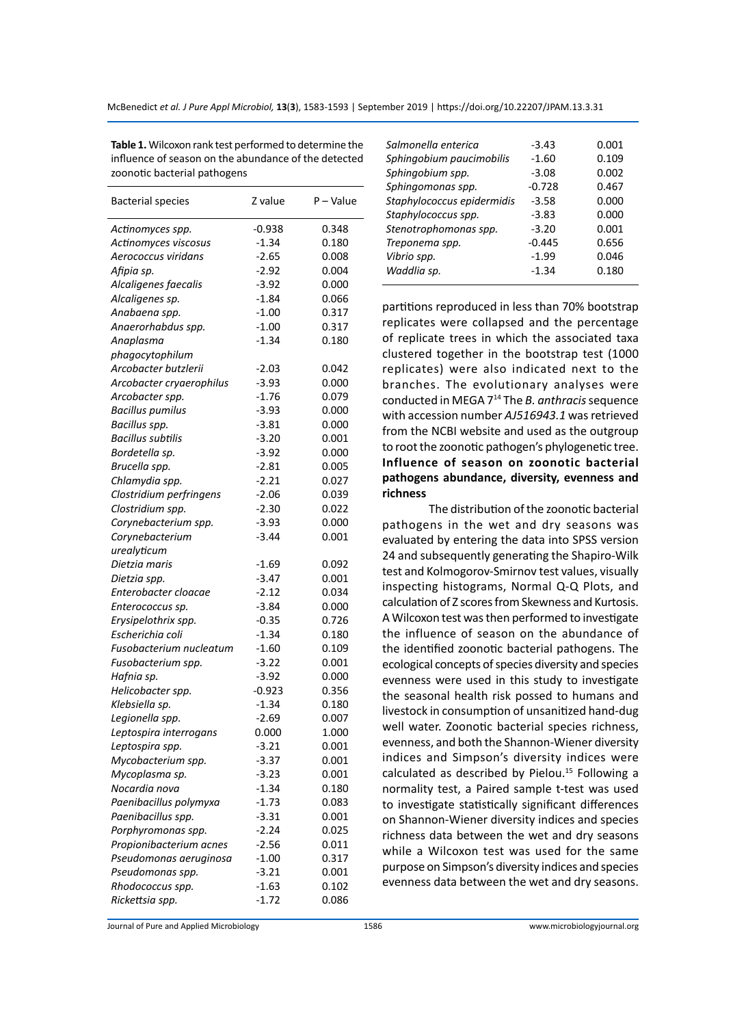**Table 1.** Wilcoxon rank test performed to determine the influence of season on the abundance of the detected zoonotic bacterial pathogens

| <b>Bacterial species</b> | Z value  | P - Value |
|--------------------------|----------|-----------|
| Actinomyces spp.         | $-0.938$ | 0.348     |
| Actinomyces viscosus     | $-1.34$  | 0.180     |
| Aerococcus viridans      | $-2.65$  | 0.008     |
| Afipia sp.               | $-2.92$  | 0.004     |
| Alcaligenes faecalis     | $-3.92$  | 0.000     |
| Alcaligenes sp.          | $-1.84$  | 0.066     |
| Anabaena spp.            | $-1.00$  | 0.317     |
| Anaerorhabdus spp.       | $-1.00$  | 0.317     |
| Anaplasma                | $-1.34$  | 0.180     |
| phagocytophilum          |          |           |
| Arcobacter butzlerii     | $-2.03$  | 0.042     |
| Arcobacter cryaerophilus | $-3.93$  | 0.000     |
| Arcobacter spp.          | $-1.76$  | 0.079     |
| <b>Bacillus pumilus</b>  | $-3.93$  | 0.000     |
| Bacillus spp.            | $-3.81$  | 0.000     |
| <b>Bacillus subtilis</b> | $-3.20$  | 0.001     |
| Bordetella sp.           | $-3.92$  | 0.000     |
| Brucella spp.            | -2.81    | 0.005     |
| Chlamydia spp.           | $-2.21$  | 0.027     |
| Clostridium perfringens  | $-2.06$  | 0.039     |
| Clostridium spp.         | $-2.30$  | 0.022     |
| Corynebacterium spp.     | $-3.93$  | 0.000     |
| Corynebacterium          | $-3.44$  | 0.001     |
| urealyticum              |          |           |
| Dietzia maris            | $-1.69$  | 0.092     |
| Dietzia spp.             | $-3.47$  | 0.001     |
| Enterobacter cloacae     | $-2.12$  | 0.034     |
| Enterococcus sp.         | $-3.84$  | 0.000     |
| Erysipelothrix spp.      | $-0.35$  | 0.726     |
| Escherichia coli         | $-1.34$  | 0.180     |
| Fusobacterium nucleatum  | $-1.60$  | 0.109     |
| Fusobacterium spp.       | $-3.22$  | 0.001     |
| Hafnia sp.               | $-3.92$  | 0.000     |
| Helicobacter spp.        | $-0.923$ | 0.356     |
| Klebsiella sp.           | $-1.34$  | 0.180     |
| Legionella spp.          | $-2.69$  | 0.007     |
| Leptospira interrogans   | 0.000    | 1.000     |
| Leptospira spp.          | $-3.21$  | 0.001     |
| Mycobacterium spp.       | $-3.37$  | 0.001     |
| Mycoplasma sp.           | $-3.23$  | 0.001     |
| Nocardia nova            | -1.34    | 0.180     |
| Paenibacillus polymyxa   | $-1.73$  | 0.083     |
| Paenibacillus spp.       | $-3.31$  | 0.001     |
| Porphyromonas spp.       | $-2.24$  | 0.025     |
| Propionibacterium acnes  | $-2.56$  | 0.011     |
| Pseudomonas aeruginosa   | $-1.00$  | 0.317     |
| Pseudomonas spp.         | $-3.21$  | 0.001     |
| Rhodococcus spp.         | $-1.63$  | 0.102     |
| Rickettsia spp.          | $-1.72$  | 0.086     |

| Salmonella enterica        | $-3.43$  | 0.001 |
|----------------------------|----------|-------|
| Sphingobium paucimobilis   | $-1.60$  | 0.109 |
| Sphingobium spp.           | $-3.08$  | 0.002 |
| Sphingomonas spp.          | $-0.728$ | 0.467 |
| Staphylococcus epidermidis | $-3.58$  | 0.000 |
| Staphylococcus spp.        | $-3.83$  | 0.000 |
| Stenotrophomonas spp.      | $-3.20$  | 0.001 |
| Treponema spp.             | $-0.445$ | 0.656 |
| Vibrio spp.                | $-1.99$  | 0.046 |
| Waddlia sp.                | $-1.34$  | 0.180 |
|                            |          |       |

partitions reproduced in less than 70% bootstrap replicates were collapsed and the percentage of replicate trees in which the associated taxa clustered together in the bootstrap test (1000 replicates) were also indicated next to the branches. The evolutionary analyses were conducted in MEGA 7<sup>14</sup> The *B. anthracis* sequence with accession number *AJ516943.1* was retrieved from the NCBI website and used as the outgroup to root the zoonotic pathogen's phylogenetic tree. **Influence of season on zoonotic bacterial pathogens abundance, diversity, evenness and richness**

The distribution of the zoonotic bacterial pathogens in the wet and dry seasons was evaluated by entering the data into SPSS version 24 and subsequently generating the Shapiro-Wilk test and Kolmogorov-Smirnov test values, visually inspecting histograms, Normal Q-Q Plots, and calculation of Z scores from Skewness and Kurtosis. A Wilcoxon test was then performed to investigate the influence of season on the abundance of the identified zoonotic bacterial pathogens. The ecological concepts of species diversity and species evenness were used in this study to investigate the seasonal health risk possed to humans and livestock in consumption of unsanitized hand-dug well water. Zoonotic bacterial species richness, evenness, and both the Shannon-Wiener diversity indices and Simpson's diversity indices were calculated as described by Pielou.<sup>15</sup> Following a normality test, a Paired sample t-test was used to investigate statistically significant differences on Shannon-Wiener diversity indices and species richness data between the wet and dry seasons while a Wilcoxon test was used for the same purpose on Simpson's diversity indices and species evenness data between the wet and dry seasons.

Journal of Pure and Applied Microbiology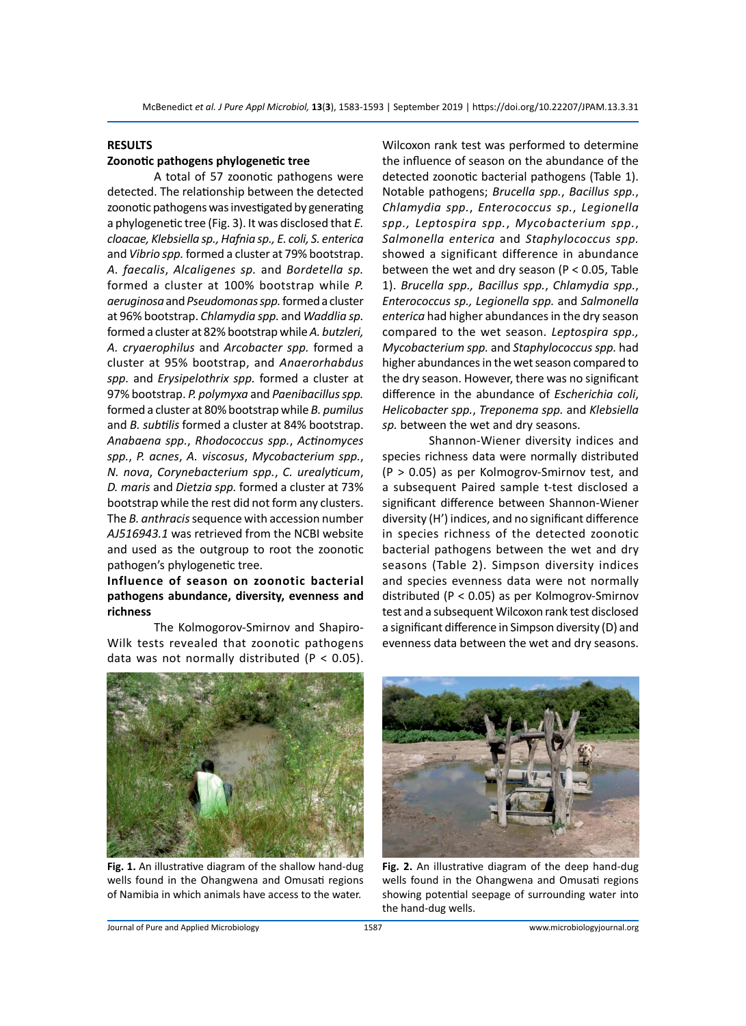## **RESULTS**

#### **Zoonotic pathogens phylogenetic tree**

A total of 57 zoonotic pathogens were detected. The relationship between the detected zoonotic pathogens was investigated by generating a phylogenetic tree (Fig. 3). It was disclosed that *E. cloacae, Klebsiella sp., Hafnia sp., E. coli, S. enterica*  and *Vibrio spp.* formed a cluster at 79% bootstrap. *A. faecalis*, *Alcaligenes sp.* and *Bordetella sp.* formed a cluster at 100% bootstrap while *P. aeruginosa* and *Pseudomonas spp.* formed a cluster at 96% bootstrap. *Chlamydia spp.* and *Waddlia sp.* formed a cluster at 82% bootstrap while *A. butzleri, A. cryaerophilus* and *Arcobacter spp.* formed a cluster at 95% bootstrap, and *Anaerorhabdus spp.* and *Erysipelothrix spp.* formed a cluster at 97% bootstrap. *P. polymyxa* and *Paenibacillus spp.* formed a cluster at 80% bootstrap while *B. pumilus* and *B. subtilis* formed a cluster at 84% bootstrap. *Anabaena spp.*, *Rhodococcus spp.*, *Actinomyces spp.*, *P. acnes*, *A. viscosus*, *Mycobacterium spp.*, *N. nova*, *Corynebacterium spp.*, *C. urealyticum*, *D. maris* and *Dietzia spp.* formed a cluster at 73% bootstrap while the rest did not form any clusters. The *B. anthracis* sequence with accession number *AJ516943.1* was retrieved from the NCBI website and used as the outgroup to root the zoonotic pathogen's phylogenetic tree.

# **Influence of season on zoonotic bacterial pathogens abundance, diversity, evenness and richness**

The Kolmogorov-Smirnov and Shapiro-Wilk tests revealed that zoonotic pathogens data was not normally distributed (P < 0.05). Wilcoxon rank test was performed to determine the influence of season on the abundance of the detected zoonotic bacterial pathogens (Table 1). Notable pathogens; *Brucella spp.*, *Bacillus spp.*, *Chlamydia spp.*, *Enterococcus sp.*, *Legionella spp., Leptospira spp.*, *Mycobacterium spp.*, *Salmonella enterica* and *Staphylococcus spp.* showed a significant difference in abundance between the wet and dry season (P < 0.05, Table 1). *Brucella spp., Bacillus spp.*, *Chlamydia spp.*, *Enterococcus sp., Legionella spp.* and *Salmonella enterica* had higher abundances in the dry season compared to the wet season. *Leptospira spp., Mycobacterium spp.* and *Staphylococcus spp.* had higher abundances in the wet season compared to the dry season. However, there was no significant difference in the abundance of *Escherichia coli*, *Helicobacter spp.*, *Treponema spp.* and *Klebsiella sp.* between the wet and dry seasons.

Shannon-Wiener diversity indices and species richness data were normally distributed (P > 0.05) as per Kolmogrov-Smirnov test, and a subsequent Paired sample t-test disclosed a significant difference between Shannon-Wiener diversity (H') indices, and no significant difference in species richness of the detected zoonotic bacterial pathogens between the wet and dry seasons (Table 2). Simpson diversity indices and species evenness data were not normally distributed (P < 0.05) as per Kolmogrov-Smirnov test and a subsequent Wilcoxon rank test disclosed a significant difference in Simpson diversity (D) and evenness data between the wet and dry seasons.



**Fig. 1.** An illustrative diagram of the shallow hand-dug wells found in the Ohangwena and Omusati regions of Namibia in which animals have access to the water.



**Fig. 2.** An illustrative diagram of the deep hand-dug wells found in the Ohangwena and Omusati regions showing potential seepage of surrounding water into the hand-dug wells.

Journal of Pure and Applied Microbiology 1587 www.microbiologyjournal.org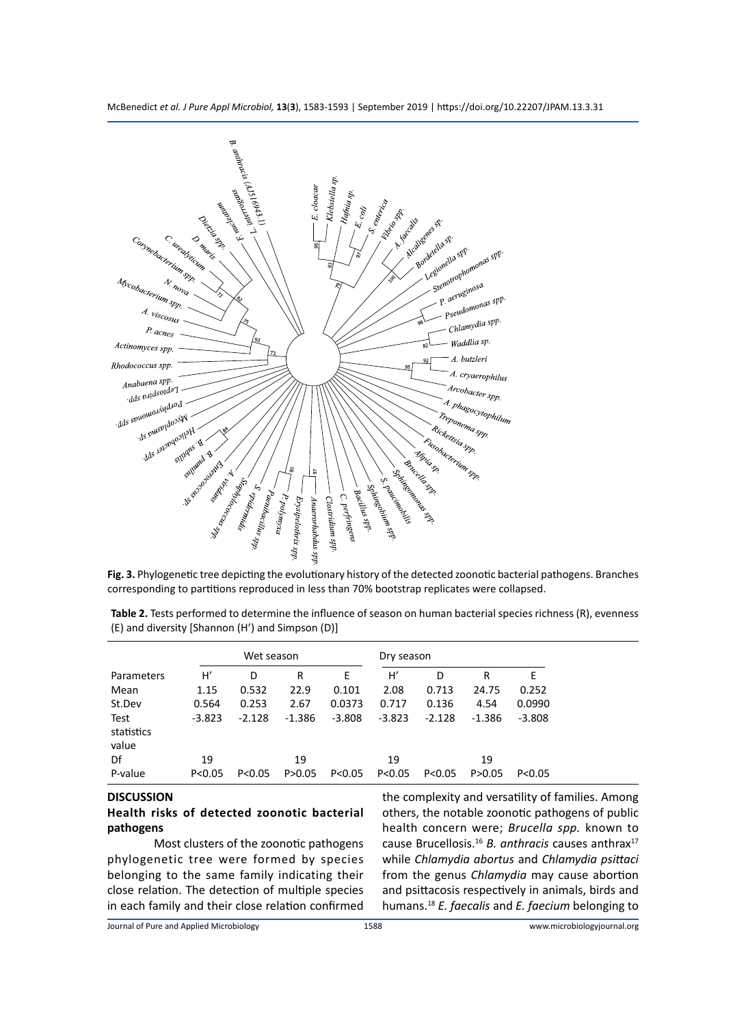McBenedict *et al. J Pure Appl Microbiol,* **13**(**3**), 1583-1593 | September 2019 | https://doi.org/10.22207/JPAM.13.3.31



**Fig. 3.** Phylogenetic tree depicting the evolutionary history of the detected zoonotic bacterial pathogens. Branches corresponding to partitions reproduced in less than 70% bootstrap replicates were collapsed.

|                             | Wet season |          |          | Dry season |          |          |          |          |
|-----------------------------|------------|----------|----------|------------|----------|----------|----------|----------|
| Parameters                  | H          | D        | R        | Ε          | H        | D        | R        | E        |
| Mean                        | 1.15       | 0.532    | 22.9     | 0.101      | 2.08     | 0.713    | 24.75    | 0.252    |
| St.Dev                      | 0.564      | 0.253    | 2.67     | 0.0373     | 0.717    | 0.136    | 4.54     | 0.0990   |
| Test<br>statistics<br>value | $-3.823$   | $-2.128$ | $-1.386$ | $-3.808$   | $-3.823$ | $-2.128$ | $-1.386$ | $-3.808$ |
| Df                          | 19         |          | 19       |            | 19       |          | 19       |          |
| P-value                     | P < 0.05   | P < 0.05 | P > 0.05 | P < 0.05   | P < 0.05 | P < 0.05 | P > 0.05 | P < 0.05 |

**Table 2.** Tests performed to determine the influence of season on human bacterial species richness (R), evenness (E) and diversity [Shannon (H') and Simpson (D)]

# **DISCUSSION**

# **Health risks of detected zoonotic bacterial pathogens**

Most clusters of the zoonotic pathogens phylogenetic tree were formed by species belonging to the same family indicating their close relation. The detection of multiple species in each family and their close relation confirmed the complexity and versatility of families. Among others, the notable zoonotic pathogens of public health concern were; *Brucella spp.* known to cause Brucellosis.<sup>16</sup> *B. anthracis* causes anthrax<sup>17</sup> while *Chlamydia abortus* and *Chlamydia psittaci* from the genus *Chlamydia* may cause abortion and psittacosis respectively in animals, birds and humans.<sup>18</sup> *E. faecalis* and *E. faecium* belonging to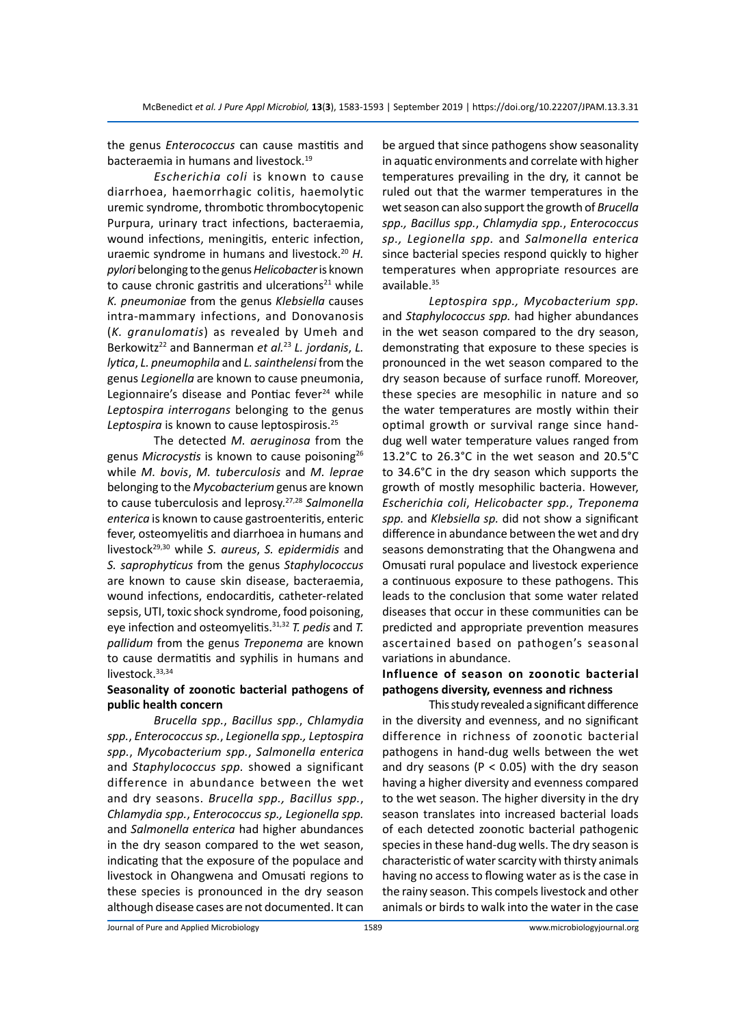the genus *Enterococcus* can cause mastitis and bacteraemia in humans and livestock.<sup>19</sup>

*Escherichia coli* is known to cause diarrhoea, haemorrhagic colitis, haemolytic uremic syndrome, thrombotic thrombocytopenic Purpura, urinary tract infections, bacteraemia, wound infections, meningitis, enteric infection, uraemic syndrome in humans and livestock.<sup>20</sup> *H. pylori* belonging to the genus *Helicobacter* is known to cause chronic gastritis and ulcerations $21$  while *K. pneumoniae* from the genus *Klebsiella* causes intra-mammary infections, and Donovanosis (*K. granulomatis*) as revealed by Umeh and Berkowitz<sup>22</sup> and Bannerman *et al.*<sup>23</sup> *L. jordanis*, *L. lytica*, *L. pneumophila* and *L. sainthelensi* from the genus *Legionella* are known to cause pneumonia, Legionnaire's disease and Pontiac fever $24$  while *Leptospira interrogans* belonging to the genus *Leptospira* is known to cause leptospirosis.<sup>25</sup>

The detected *M. aeruginosa* from the genus Microcystis is known to cause poisoning<sup>26</sup> while *M. bovis*, *M. tuberculosis* and *M. leprae* belonging to the *Mycobacterium* genus are known to cause tuberculosis and leprosy.27,28 *Salmonella enterica* is known to cause gastroenteritis, enteric fever, osteomyelitis and diarrhoea in humans and livestock29,30 while *S. aureus*, *S. epidermidis* and *S. saprophyticus* from the genus *Staphylococcus*  are known to cause skin disease, bacteraemia, wound infections, endocarditis, catheter-related sepsis, UTI, toxic shock syndrome, food poisoning, eye infection and osteomyelitis.31,32 *T. pedis* and *T. pallidum* from the genus *Treponema* are known to cause dermatitis and syphilis in humans and livestock.<sup>33,34</sup>

# **Seasonality of zoonotic bacterial pathogens of public health concern**

*Brucella spp.*, *Bacillus spp.*, *Chlamydia spp.*, *Enterococcus sp.*, *Legionella spp., Leptospira spp.*, *Mycobacterium spp.*, *Salmonella enterica*  and *Staphylococcus spp.* showed a significant difference in abundance between the wet and dry seasons. *Brucella spp., Bacillus spp.*, *Chlamydia spp.*, *Enterococcus sp., Legionella spp.* and *Salmonella enterica* had higher abundances in the dry season compared to the wet season, indicating that the exposure of the populace and livestock in Ohangwena and Omusati regions to these species is pronounced in the dry season although disease cases are not documented. It can be argued that since pathogens show seasonality in aquatic environments and correlate with higher temperatures prevailing in the dry, it cannot be ruled out that the warmer temperatures in the wet season can also support the growth of *Brucella spp., Bacillus spp.*, *Chlamydia spp.*, *Enterococcus sp., Legionella spp.* and *Salmonella enterica* since bacterial species respond quickly to higher temperatures when appropriate resources are available.<sup>35</sup>

*Leptospira spp., Mycobacterium spp.* and *Staphylococcus spp.* had higher abundances in the wet season compared to the dry season, demonstrating that exposure to these species is pronounced in the wet season compared to the dry season because of surface runoff. Moreover, these species are mesophilic in nature and so the water temperatures are mostly within their optimal growth or survival range since handdug well water temperature values ranged from 13.2°C to 26.3°C in the wet season and 20.5°C to 34.6°C in the dry season which supports the growth of mostly mesophilic bacteria. However, *Escherichia coli*, *Helicobacter spp.*, *Treponema spp.* and *Klebsiella sp.* did not show a significant difference in abundance between the wet and dry seasons demonstrating that the Ohangwena and Omusati rural populace and livestock experience a continuous exposure to these pathogens. This leads to the conclusion that some water related diseases that occur in these communities can be predicted and appropriate prevention measures ascertained based on pathogen's seasonal variations in abundance.

# **Influence of season on zoonotic bacterial pathogens diversity, evenness and richness**

This study revealed a significant difference in the diversity and evenness, and no significant difference in richness of zoonotic bacterial pathogens in hand-dug wells between the wet and dry seasons ( $P < 0.05$ ) with the dry season having a higher diversity and evenness compared to the wet season. The higher diversity in the dry season translates into increased bacterial loads of each detected zoonotic bacterial pathogenic species in these hand-dug wells. The dry season is characteristic of water scarcity with thirsty animals having no access to flowing water as is the case in the rainy season. This compels livestock and other animals or birds to walk into the water in the case

Journal of Pure and Applied Microbiology 1589 www.microbiologyjournal.org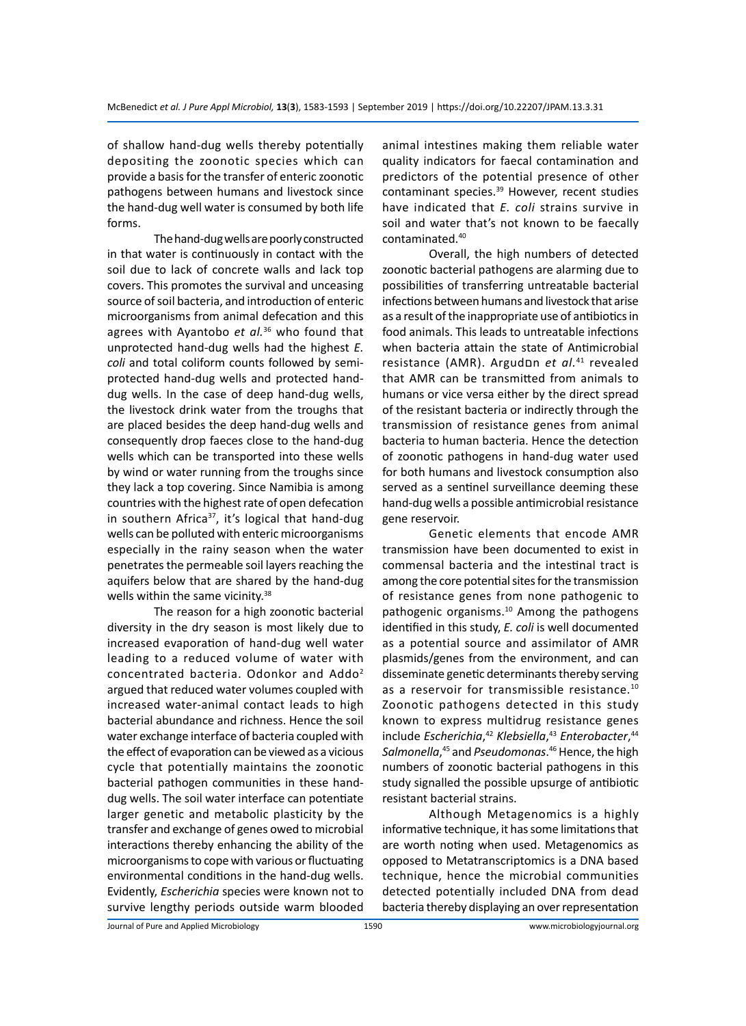of shallow hand-dug wells thereby potentially depositing the zoonotic species which can provide a basis for the transfer of enteric zoonotic pathogens between humans and livestock since the hand-dug well water is consumed by both life forms.

The hand-dug wells are poorly constructed in that water is continuously in contact with the soil due to lack of concrete walls and lack top covers. This promotes the survival and unceasing source of soil bacteria, and introduction of enteric microorganisms from animal defecation and this agrees with Ayantobo *et al.*<sup>36</sup> who found that unprotected hand-dug wells had the highest *E. coli* and total coliform counts followed by semiprotected hand-dug wells and protected handdug wells. In the case of deep hand-dug wells, the livestock drink water from the troughs that are placed besides the deep hand-dug wells and consequently drop faeces close to the hand-dug wells which can be transported into these wells by wind or water running from the troughs since they lack a top covering. Since Namibia is among countries with the highest rate of open defecation in southern Africa<sup>37</sup>, it's logical that hand-dug wells can be polluted with enteric microorganisms especially in the rainy season when the water penetrates the permeable soil layers reaching the aquifers below that are shared by the hand-dug wells within the same vicinity.<sup>38</sup>

The reason for a high zoonotic bacterial diversity in the dry season is most likely due to increased evaporation of hand-dug well water leading to a reduced volume of water with concentrated bacteria. Odonkor and Addo<sup>2</sup> argued that reduced water volumes coupled with increased water-animal contact leads to high bacterial abundance and richness. Hence the soil water exchange interface of bacteria coupled with the effect of evaporation can be viewed as a vicious cycle that potentially maintains the zoonotic bacterial pathogen communities in these handdug wells. The soil water interface can potentiate larger genetic and metabolic plasticity by the transfer and exchange of genes owed to microbial interactions thereby enhancing the ability of the microorganisms to cope with various or fluctuating environmental conditions in the hand-dug wells. Evidently, *Escherichia* species were known not to survive lengthy periods outside warm blooded animal intestines making them reliable water quality indicators for faecal contamination and predictors of the potential presence of other contaminant species.<sup>39</sup> However, recent studies have indicated that *E. coli* strains survive in soil and water that's not known to be faecally contaminated.<sup>40</sup>

Overall, the high numbers of detected zoonotic bacterial pathogens are alarming due to possibilities of transferring untreatable bacterial infections between humans and livestock that arise as a result of the inappropriate use of antibiotics in food animals. This leads to untreatable infections when bacteria attain the state of Antimicrobial resistance (AMR). Argudםn *et al.*41 revealed that AMR can be transmitted from animals to humans or vice versa either by the direct spread of the resistant bacteria or indirectly through the transmission of resistance genes from animal bacteria to human bacteria. Hence the detection of zoonotic pathogens in hand-dug water used for both humans and livestock consumption also served as a sentinel surveillance deeming these hand-dug wells a possible antimicrobial resistance gene reservoir.

Genetic elements that encode AMR transmission have been documented to exist in commensal bacteria and the intestinal tract is among the core potential sites for the transmission of resistance genes from none pathogenic to pathogenic organisms.<sup>10</sup> Among the pathogens identified in this study, *E. coli* is well documented as a potential source and assimilator of AMR plasmids/genes from the environment, and can disseminate genetic determinants thereby serving as a reservoir for transmissible resistance.<sup>10</sup> Zoonotic pathogens detected in this study known to express multidrug resistance genes include *Escherichia*, <sup>42</sup> *Klebsiella*, <sup>43</sup> *Enterobacter*, 44 *Salmonella*, 45 and *Pseudomonas*. <sup>46</sup> Hence, the high numbers of zoonotic bacterial pathogens in this study signalled the possible upsurge of antibiotic resistant bacterial strains.

Although Metagenomics is a highly informative technique, it has some limitations that are worth noting when used. Metagenomics as opposed to Metatranscriptomics is a DNA based technique, hence the microbial communities detected potentially included DNA from dead bacteria thereby displaying an over representation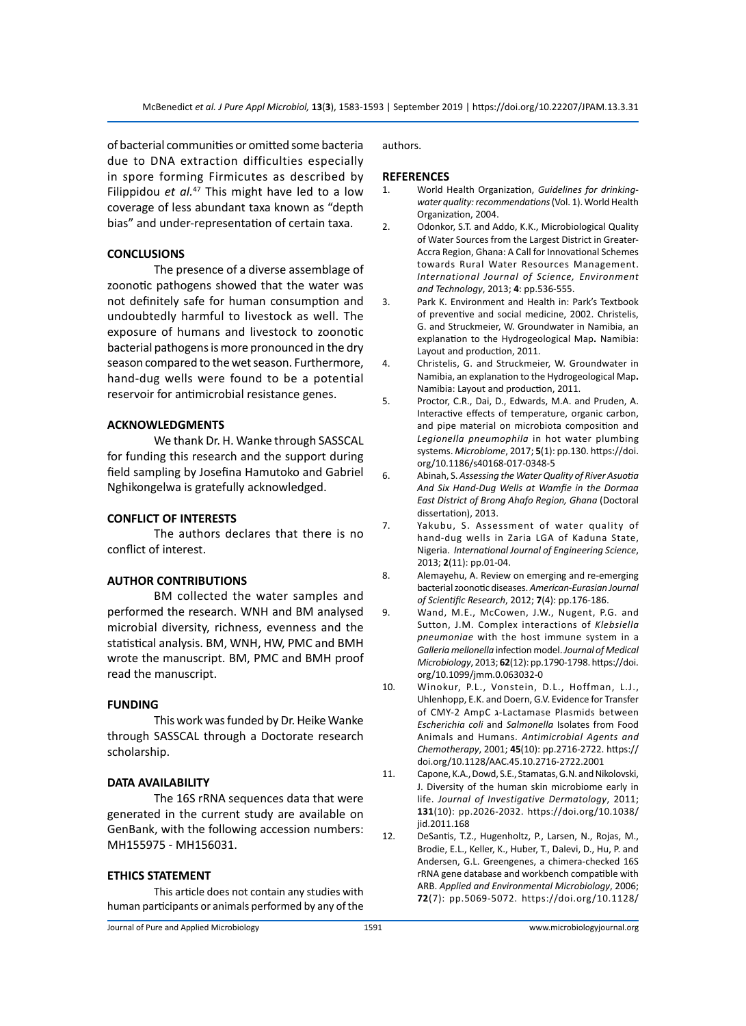of bacterial communities or omitted some bacteria due to DNA extraction difficulties especially in spore forming Firmicutes as described by Filippidou *et al.<sup>47</sup>* This might have led to a low coverage of less abundant taxa known as "depth bias" and under-representation of certain taxa.

# **CONCLUSIONS**

The presence of a diverse assemblage of zoonotic pathogens showed that the water was not definitely safe for human consumption and undoubtedly harmful to livestock as well. The exposure of humans and livestock to zoonotic bacterial pathogens is more pronounced in the dry season compared to the wet season. Furthermore, hand-dug wells were found to be a potential reservoir for antimicrobial resistance genes.

## **ACKNOWLEDGMENTS**

We thank Dr. H. Wanke through SASSCAL for funding this research and the support during field sampling by Josefina Hamutoko and Gabriel Nghikongelwa is gratefully acknowledged.

## **CONFLICT OF INTERESTS**

The authors declares that there is no conflict of interest.

# **AUTHOR CONTRIBUTIONS**

BM collected the water samples and performed the research. WNH and BM analysed microbial diversity, richness, evenness and the statistical analysis. BM, WNH, HW, PMC and BMH wrote the manuscript. BM, PMC and BMH proof read the manuscript.

#### **FUNDING**

This work was funded by Dr. Heike Wanke through SASSCAL through a Doctorate research scholarship.

#### **DATA AVAILABILITY**

The 16S rRNA sequences data that were generated in the current study are available on GenBank, with the following accession numbers: MH155975 - MH156031.

#### **ETHICS STATEMENT**

This article does not contain any studies with human participants or animals performed by any of the authors.

## **REFERENCES**

- 1. World Health Organization, *Guidelines for drinkingwater quality: recommendations*(Vol. 1). World Health Organization, 2004.
- 2. Odonkor, S.T. and Addo, K.K., Microbiological Quality of Water Sources from the Largest District in Greater-Accra Region, Ghana: A Call for Innovational Schemes towards Rural Water Resources Management. *International Journal of Science, Environment and Technology*, 2013; **4**: pp.536-555.
- 3. Park K. Environment and Health in: Park's Textbook of preventive and social medicine, 2002. Christelis, G. and Struckmeier, W. Groundwater in Namibia, an explanation to the Hydrogeological Map**.** Namibia: Layout and production, 2011.
- 4. Christelis, G. and Struckmeier, W. Groundwater in Namibia, an explanation to the Hydrogeological Map**.**  Namibia: Layout and production, 2011.
- 5. Proctor, C.R., Dai, D., Edwards, M.A. and Pruden, A. Interactive effects of temperature, organic carbon, and pipe material on microbiota composition and *Legionella pneumophila* in hot water plumbing systems. *Microbiome*, 2017; **5**(1): pp.130. https://doi. org/10.1186/s40168-017-0348-5
- 6. Abinah, S. *Assessing the Water Quality of River Asuotia And Six Hand-Dug Wells at Wamfie in the Dormaa East District of Brong Ahafo Region, Ghana* (Doctoral dissertation), 2013.
- 7. Yakubu, S. Assessment of water quality of hand-dug wells in Zaria LGA of Kaduna State, Nigeria. *International Journal of Engineering Science*, 2013; **2**(11): pp.01-04.
- 8. Alemayehu, A. Review on emerging and re-emerging bacterial zoonotic diseases. *American-Eurasian Journal of Scientific Research*, 2012; **7**(4): pp.176-186.
- 9. Wand, M.E., McCowen, J.W., Nugent, P.G. and Sutton, J.M. Complex interactions of *Klebsiella pneumoniae* with the host immune system in a *Galleria mellonella* infection model.*Journal of Medical Microbiology*, 2013; **62**(12): pp.1790-1798. https://doi. org/10.1099/jmm.0.063032-0
- 10. Winokur, P.L., Vonstein, D.L., Hoffman, L.J., Uhlenhopp, E.K. and Doern, G.V. Evidence for Transfer of CMY-2 AmpC ג-Lactamase Plasmids between *Escherichia coli* and *Salmonella* Isolates from Food Animals and Humans. *Antimicrobial Agents and Chemotherapy*, 2001; **45**(10): pp.2716-2722. https:// doi.org/10.1128/AAC.45.10.2716-2722.2001
- 11. Capone, K.A., Dowd, S.E., Stamatas, G.N. and Nikolovski, J. Diversity of the human skin microbiome early in life. *Journal of Investigative Dermatology*, 2011; **131**(10): pp.2026-2032. https://doi.org/10.1038/ iid.2011.168
- 12. DeSantis, T.Z., Hugenholtz, P., Larsen, N., Rojas, M., Brodie, E.L., Keller, K., Huber, T., Dalevi, D., Hu, P. and Andersen, G.L. Greengenes, a chimera-checked 16S rRNA gene database and workbench compatible with ARB. *Applied and Environmental Microbiology*, 2006; **72**(7): pp.5069-5072. https://doi.org/10.1128/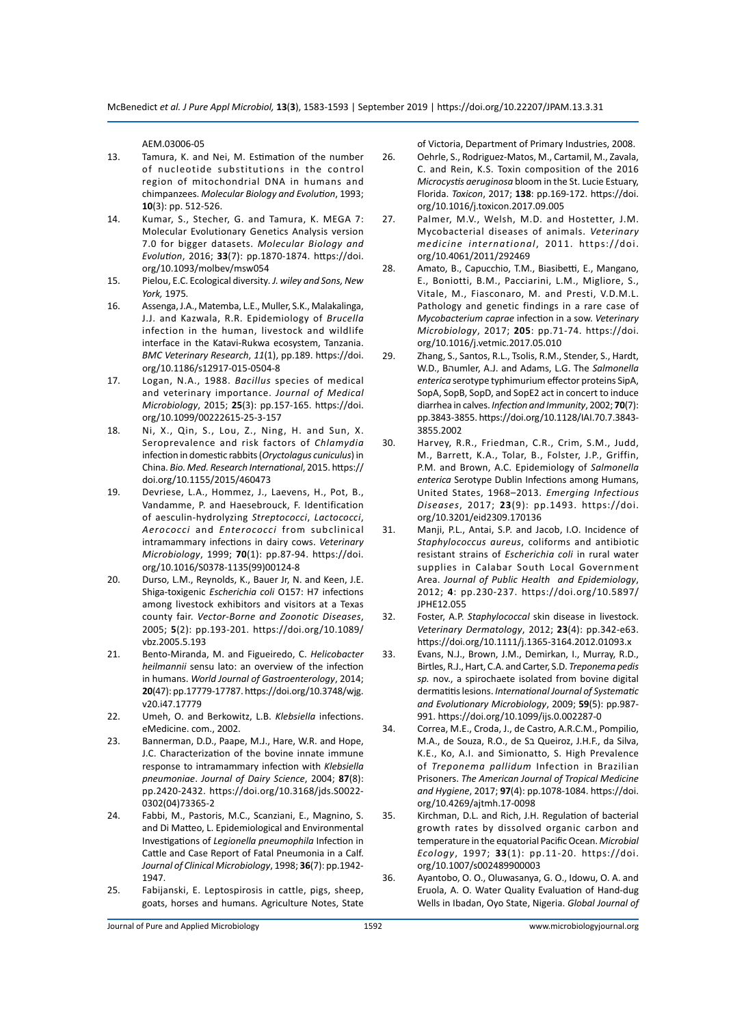AEM.03006-05

- 13. Tamura, K. and Nei, M. Estimation of the number of nucleotide substitutions in the control region of mitochondrial DNA in humans and chimpanzees. *Molecular Biology and Evolution*, 1993; **10**(3): pp. 512-526.
- 14. Kumar, S., Stecher, G. and Tamura, K. MEGA 7: Molecular Evolutionary Genetics Analysis version 7.0 for bigger datasets. *Molecular Biology and Evolution*, 2016; **33**(7): pp.1870-1874. https://doi. org/10.1093/molbev/msw054
- 15. Pielou, E.C. Ecological diversity*. J. wiley and Sons, New York,* 1975*.*
- 16. Assenga, J.A., Matemba, L.E., Muller, S.K., Malakalinga, J.J. and Kazwala, R.R. Epidemiology of *Brucella* infection in the human, livestock and wildlife interface in the Katavi-Rukwa ecosystem, Tanzania. *BMC Veterinary Research*, *11*(1), pp.189. https://doi. org/10.1186/s12917-015-0504-8
- 17. Logan, N.A., 1988. *Bacillus* species of medical and veterinary importance. *Journal of Medical Microbiology*, 2015; **25**(3): pp.157-165. https://doi. org/10.1099/00222615-25-3-157
- 18. Ni, X., Qin, S., Lou, Z., Ning, H. and Sun, X. Seroprevalence and risk factors of *Chlamydia* infection in domestic rabbits (*Oryctolagus cuniculus*) in China. *Bio. Med. Research International*, 2015. https:// doi.org/10.1155/2015/460473
- 19. Devriese, L.A., Hommez, J., Laevens, H., Pot, B., Vandamme, P. and Haesebrouck, F. Identification of aesculin-hydrolyzing *Streptococci*, *Lactococci*, *Aerococci* and *Enterococci* from subclinical intramammary infections in dairy cows. *Veterinary Microbiology*, 1999; **70**(1): pp.87-94. https://doi. org/10.1016/S0378-1135(99)00124-8
- 20. Durso, L.M., Reynolds, K., Bauer Jr, N. and Keen, J.E. Shiga-toxigenic *Escherichia coli* O157: H7 infections among livestock exhibitors and visitors at a Texas county fair. *Vector-Borne and Zoonotic Diseases*, 2005; **5**(2): pp.193-201. https://doi.org/10.1089/ vbz.2005.5.193
- 21. Bento-Miranda, M. and Figueiredo, C. *Helicobacter heilmannii* sensu lato: an overview of the infection in humans. *World Journal of Gastroenterology*, 2014; **20**(47): pp.17779-17787. https://doi.org/10.3748/wjg. v20.i47.17779
- 22. Umeh, O. and Berkowitz, L.B. *Klebsiella* infections. eMedicine. com., 2002.
- 23. Bannerman, D.D., Paape, M.J., Hare, W.R. and Hope, J.C. Characterization of the bovine innate immune response to intramammary infection with *Klebsiella pneumoniae*. *Journal of Dairy Science*, 2004; **87**(8): pp.2420-2432. https://doi.org/10.3168/jds.S0022- 0302(04)73365-2
- 24. Fabbi, M., Pastoris, M.C., Scanziani, E., Magnino, S. and Di Matteo, L. Epidemiological and Environmental Investigations of *Legionella pneumophila* Infection in Cattle and Case Report of Fatal Pneumonia in a Calf. *Journal of Clinical Microbiology*, 1998; **36**(7): pp.1942- 1947.
- 25. Fabijanski, E. Leptospirosis in cattle, pigs, sheep, goats, horses and humans. Agriculture Notes, State

of Victoria, Department of Primary Industries, 2008.

- 26. Oehrle, S., Rodriguez-Matos, M., Cartamil, M., Zavala, C. and Rein, K.S. Toxin composition of the 2016 *Microcystis aeruginosa* bloom in the St. Lucie Estuary, Florida. *Toxicon*, 2017; **138**: pp.169-172. https://doi. org/10.1016/j.toxicon.2017.09.005
- 27. Palmer, M.V., Welsh, M.D. and Hostetter, J.M. Mycobacterial diseases of animals. *Veterinary medicine international*, 2011. https://doi. org/10.4061/2011/292469
- 28. Amato, B., Capucchio, T.M., Biasibetti, E., Mangano, E., Boniotti, B.M., Pacciarini, L.M., Migliore, S., Vitale, M., Fiasconaro, M. and Presti, V.D.M.L. Pathology and genetic findings in a rare case of *Mycobacterium caprae* infection in a sow. *Veterinary Microbiology*, 2017; **205**: pp.71-74. https://doi. org/10.1016/j.vetmic.2017.05.010
- 29. Zhang, S., Santos, R.L., Tsolis, R.M., Stender, S., Hardt, W.D., Bהumler, A.J. and Adams, L.G. The *Salmonella enterica* serotype typhimurium effector proteins SipA, SopA, SopB, SopD, and SopE2 act in concert to induce diarrhea in calves. *Infection and Immunity*, 2002; **70**(7): pp.3843-3855. https://doi.org/10.1128/IAI.70.7.3843- 3855.2002
- 30. Harvey, R.R., Friedman, C.R., Crim, S.M., Judd, M., Barrett, K.A., Tolar, B., Folster, J.P., Griffin, P.M. and Brown, A.C. Epidemiology of *Salmonella enterica* Serotype Dublin Infections among Humans, United States, 1968–2013. *Emerging Infectious Diseases*, 2017; **23**(9): pp.1493. https://doi. org/10.3201/eid2309.170136
- 31. Manji, P.L., Antai, S.P. and Jacob, I.O. Incidence of *Staphylococcus aureus*, coliforms and antibiotic resistant strains of *Escherichia coli* in rural water supplies in Calabar South Local Government Area. *Journal of Public Health and Epidemiology*, 2012; **4**: pp.230-237. https://doi.org/10.5897/ JPHE12.055
- 32. Foster, A.P. *Staphylococcal* skin disease in livestock. *Veterinary Dermatology*, 2012; **23**(4): pp.342-e63. https://doi.org/10.1111/j.1365-3164.2012.01093.x
- 33. Evans, N.J., Brown, J.M., Demirkan, I., Murray, R.D., Birtles, R.J., Hart, C.A. and Carter, S.D. *Treponema pedis sp.* nov., a spirochaete isolated from bovine digital dermatitis lesions. *International Journal of Systematic and Evolutionary Microbiology*, 2009; **59**(5): pp.987- 991. https://doi.org/10.1099/ijs.0.002287-0
- 34. Correa, M.E., Croda, J., de Castro, A.R.C.M., Pompilio, M.A., de Souza, R.O., de Sב Queiroz, J.H.F., da Silva, K.E., Ko, A.I. and Simionatto, S. High Prevalence of *Treponema pallidum* Infection in Brazilian Prisoners. *The American Journal of Tropical Medicine and Hygiene*, 2017; **97**(4): pp.1078-1084. https://doi. org/10.4269/ajtmh.17-0098
- 35. Kirchman, D.L. and Rich, J.H. Regulation of bacterial growth rates by dissolved organic carbon and temperature in the equatorial Pacific Ocean. *Microbial Ecology*, 1997; **33**(1): pp.11-20. https://doi. org/10.1007/s002489900003
- 36. Ayantobo, O. O., Oluwasanya, G. O., Idowu, O. A. and Eruola, A. O. Water Quality Evaluation of Hand-dug Wells in Ibadan, Oyo State, Nigeria. *Global Journal of*